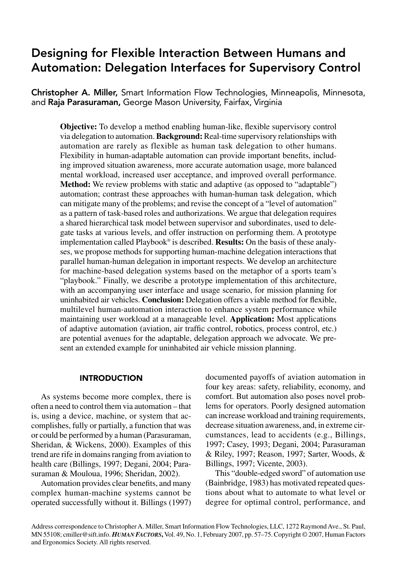# Designing for Flexible Interaction Between Humans and Automation: Delegation Interfaces for Supervisory Control

Christopher A. Miller, Smart Information Flow Technologies, Minneapolis, Minnesota, and Raja Parasuraman, George Mason University, Fairfax, Virginia

**Objective:** To develop a method enabling human-like, flexible supervisory control via delegation to automation. **Background:** Real-time supervisory relationships with automation are rarely as flexible as human task delegation to other humans. Flexibility in human-adaptable automation can provide important benefits, including improved situation awareness, more accurate automation usage, more balanced mental workload, increased user acceptance, and improved overall performance. **Method:** We review problems with static and adaptive (as opposed to "adaptable") automation; contrast these approaches with human-human task delegation, which can mitigate many of the problems; and revise the concept of a "level of automation" as a pattern of task-based roles and authorizations. We argue that delegation requires a shared hierarchical task model between supervisor and subordinates, used to delegate tasks at various levels, and offer instruction on performing them. A prototype implementation called Playbook® is described. **Results:** On the basis of these analyses, we propose methods for supporting human-machine delegation interactions that parallel human-human delegation in important respects. We develop an architecture for machine-based delegation systems based on the metaphor of a sports team's "playbook." Finally, we describe a prototype implementation of this architecture, with an accompanying user interface and usage scenario, for mission planning for uninhabited air vehicles. **Conclusion:** Delegation offers a viable method for flexible, multilevel human-automation interaction to enhance system performance while maintaining user workload at a manageable level. **Application:** Most applications of adaptive automation (aviation, air traffic control, robotics, process control, etc.) are potential avenues for the adaptable, delegation approach we advocate. We present an extended example for uninhabited air vehicle mission planning.

#### INTRODUCTION

As systems become more complex, there is often a need to control them via automation – that is, using a device, machine, or system that accomplishes, fully or partially, a function that was or could be performed by a human (Parasuraman, Sheridan, & Wickens, 2000). Examples of this trend are rife in domains ranging from aviation to health care (Billings, 1997; Degani, 2004; Parasuraman & Mouloua, 1996; Sheridan, 2002).

Automation provides clear benefits, and many complex human-machine systems cannot be operated successfully without it. Billings (1997)

documented payoffs of aviation automation in four key areas: safety, reliability, economy, and comfort. But automation also poses novel problems for operators. Poorly designed automation can increase workload and training requirements, decrease situation awareness, and, in extreme circumstances, lead to accidents (e.g., Billings, 1997; Casey, 1993; Degani, 2004; Parasuraman & Riley, 1997; Reason, 1997; Sarter, Woods, & Billings, 1997; Vicente, 2003).

This "double-edged sword" of automation use (Bainbridge, 1983) has motivated repeated questions about what to automate to what level or degree for optimal control, performance, and

Address correspondence to Christopher A. Miller, Smart Information Flow Technologies, LLC, 1272 Raymond Ave., St. Paul, MN 55108; cmiller@sift.info. *HUMAN FACTORS***,** Vol. 49, No. 1, February 2007, pp. 57–75. Copyright © 2007, Human Factors and Ergonomics Society. All rights reserved.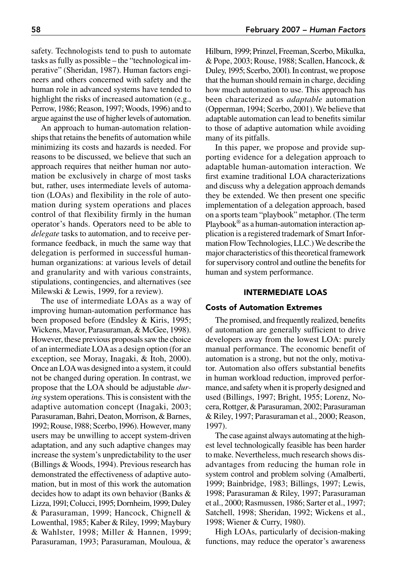safety. Technologists tend to push to automate tasks as fully as possible – the "technological imperative" (Sheridan, 1987). Human factors engineers and others concerned with safety and the human role in advanced systems have tended to highlight the risks of increased automation (e.g., Perrow, 1986; Reason, 1997; Woods, 1996) and to argue against the use of higher levels of automation.

An approach to human-automation relationships that retains the benefits of automation while minimizing its costs and hazards is needed. For reasons to be discussed, we believe that such an approach requires that neither human nor automation be exclusively in charge of most tasks but, rather, uses intermediate levels of automation (LOAs) and flexibility in the role of automation during system operations and places control of that flexibility firmly in the human operator's hands. Operators need to be able to *delegate* tasks to automation, and to receive performance feedback, in much the same way that delegation is performed in successful humanhuman organizations: at various levels of detail and granularity and with various constraints, stipulations, contingencies, and alternatives (see Milewski & Lewis, 1999, for a review).

The use of intermediate LOAs as a way of improving human-automation performance has been proposed before (Endsley & Kiris, 1995; Wickens, Mavor, Parasuraman, & McGee, 1998). However, these previous proposals saw the choice of an intermediate LOAas a design option (for an exception, see Moray, Inagaki, & Itoh, 2000). Once an LOAwas designed into a system, it could not be changed during operation. In contrast, we propose that the LOA should be adjustable *during* system operations. This is consistent with the adaptive automation concept (Inagaki, 2003; Parasuraman, Bahri, Deaton, Morrison, & Barnes, 1992; Rouse,1988; Scerbo,1996). However, many users may be unwilling to accept system-driven adaptation, and any such adaptive changes may increase the system's unpredictability to the user (Billings & Woods, 1994). Previous research has demonstrated the effectiveness of adaptive automation, but in most of this work the automation decides how to adapt its own behavior (Banks & Lizza,1991; Colucci,1995; Dornheim,1999; Duley & Parasuraman, 1999; Hancock, Chignell & Lowenthal, 1985; Kaber & Riley, 1999; Maybury & Wahlster, 1998; Miller & Hannen, 1999; Parasuraman, 1993; Parasuraman, Mouloua, & Hilburn, 1999; Prinzel, Freeman, Scerbo, Mikulka, & Pope, 2003; Rouse, 1988; Scallen, Hancock, & Duley, 1995; Scerbo, 2001). In contrast, we propose that the human should remain in charge, deciding how much automation to use. This approach has been characterized as *adaptable* automation (Opperman, 1994; Scerbo, 2001). We believe that adaptable automation can lead to benefits similar to those of adaptive automation while avoiding many of its pitfalls.

In this paper, we propose and provide supporting evidence for a delegation approach to adaptable human-automation interaction. We first examine traditional LOA characterizations and discuss why a delegation approach demands they be extended. We then present one specific implementation of a delegation approach, based on a sports team "playbook" metaphor. (The term Playbook® as a human-automation interaction application is a registered trademark of Smart Information Flow Technologies, LLC.) We describe the major characteristics of this theoretical framework for supervisory control and outline the benefits for human and system performance.

## INTERMEDIATE LOAS

#### Costs of Automation Extremes

The promised, and frequently realized, benefits of automation are generally sufficient to drive developers away from the lowest LOA: purely manual performance. The economic benefit of automation is a strong, but not the only, motivator. Automation also offers substantial benefits in human workload reduction, improved performance, and safety when it is properly designed and used (Billings, 1997; Bright, 1955; Lorenz, Nocera, Rottger, & Parasuraman, 2002; Parasuraman & Riley, 1997; Parasuraman et al., 2000; Reason, 1997).

The case against always automating at the highest level technologically feasible has been harder to make. Nevertheless, much research shows disadvantages from reducing the human role in system control and problem solving (Amalberti, 1999; Bainbridge, 1983; Billings, 1997; Lewis, 1998; Parasuraman & Riley, 1997; Parasuraman et al., 2000; Rasmussen, 1986; Sarter et al., 1997; Satchell, 1998; Sheridan, 1992; Wickens et al., 1998; Wiener & Curry, 1980).

High LOAs, particularly of decision-making functions, may reduce the operator's awareness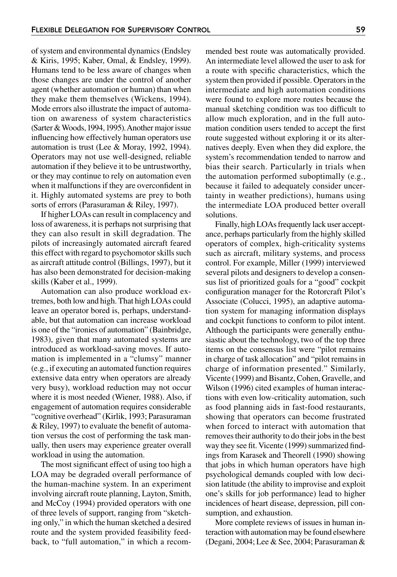of system and environmental dynamics (Endsley & Kiris, 1995; Kaber, Omal, & Endsley, 1999). Humans tend to be less aware of changes when those changes are under the control of another agent (whether automation or human) than when they make them themselves (Wickens, 1994). Mode errors also illustrate the impact of automation on awareness of system characteristics (Sarter & Woods,1994,1995). Another major issue influencing how effectively human operators use automation is trust (Lee & Moray, 1992, 1994). Operators may not use well-designed, reliable automation if they believe it to be untrustworthy, or they may continue to rely on automation even when it malfunctions if they are overconfident in it. Highly automated systems are prey to both sorts of errors (Parasuraman & Riley, 1997).

If higher LOAs can result in complacency and loss of awareness, it is perhaps not surprising that they can also result in skill degradation. The pilots of increasingly automated aircraft feared this effect with regard to psychomotor skills such as aircraft attitude control (Billings, 1997), but it has also been demonstrated for decision-making skills (Kaber et al., 1999).

Automation can also produce workload extremes, both low and high. That high LOAs could leave an operator bored is, perhaps, understandable, but that automation can increase workload is one of the "ironies of automation" (Bainbridge, 1983), given that many automated systems are introduced as workload-saving moves. If automation is implemented in a "clumsy" manner (e.g., if executing an automated function requires extensive data entry when operators are already very busy), workload reduction may not occur where it is most needed (Wiener, 1988). Also, if engagement of automation requires considerable "cognitive overhead" (Kirlik, 1993; Parasuraman & Riley, 1997) to evaluate the benefit of automation versus the cost of performing the task manually, then users may experience greater overall workload in using the automation.

The most significant effect of using too high a LOA may be degraded overall performance of the human-machine system. In an experiment involving aircraft route planning, Layton, Smith, and McCoy (1994) provided operators with one of three levels of support, ranging from "sketching only," in which the human sketched a desired route and the system provided feasibility feedback, to "full automation," in which a recom-

mended best route was automatically provided. An intermediate level allowed the user to ask for a route with specific characteristics, which the system then provided if possible. Operators in the intermediate and high automation conditions were found to explore more routes because the manual sketching condition was too difficult to allow much exploration, and in the full automation condition users tended to accept the first route suggested without exploring it or its alternatives deeply. Even when they did explore, the system's recommendation tended to narrow and bias their search. Particularly in trials when the automation performed suboptimally (e.g., because it failed to adequately consider uncertainty in weather predictions), humans using the intermediate LOA produced better overall solutions.

Finally, high LOAs frequently lack user acceptance, perhaps particularly from the highly skilled operators of complex, high-criticality systems such as aircraft, military systems, and process control. For example, Miller (1999) interviewed several pilots and designers to develop a consensus list of prioritized goals for a "good" cockpit configuration manager for the Rotorcraft Pilot's Associate (Colucci, 1995), an adaptive automation system for managing information displays and cockpit functions to conform to pilot intent. Although the participants were generally enthusiastic about the technology, two of the top three items on the consensus list were "pilot remains in charge of task allocation" and "pilot remains in charge of information presented." Similarly, Vicente (1999) and Bisantz, Cohen, Gravelle, and Wilson (1996) cited examples of human interactions with even low-criticality automation, such as food planning aids in fast-food restaurants, showing that operators can become frustrated when forced to interact with automation that removes their authority to do their jobs in the best way they see fit. Vicente (1999) summarized findings from Karasek and Theorell (1990) showing that jobs in which human operators have high psychological demands coupled with low decision latitude (the ability to improvise and exploit one's skills for job performance) lead to higher incidences of heart disease, depression, pill consumption, and exhaustion.

More complete reviews of issues in human interaction with automation may be found elsewhere (Degani, 2004; Lee & See, 2004; Parasuraman &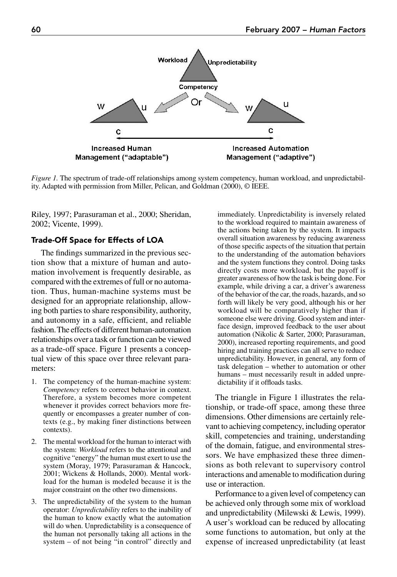

*Figure 1.* The spectrum of trade-off relationships among system competency, human workload, and unpredictability. Adapted with permission from Miller, Pelican, and Goldman (2000), © IEEE.

Riley, 1997; Parasuraman et al., 2000; Sheridan, 2002; Vicente, 1999).

## Trade-Off Space for Effects of LOA

The findings summarized in the previous section show that a mixture of human and automation involvement is frequently desirable, as compared with the extremes of full or no automation. Thus, human-machine systems must be designed for an appropriate relationship, allowing both parties to share responsibility, authority, and autonomy in a safe, efficient, and reliable fashion.The effects of different human-automation relationships over a task or function can be viewed as a trade-off space. Figure 1 presents a conceptual view of this space over three relevant parameters:

- 1. The competency of the human-machine system: *Competency* refers to correct behavior in context. Therefore, a system becomes more competent whenever it provides correct behaviors more frequently or encompasses a greater number of contexts (e.g., by making finer distinctions between contexts).
- 2. The mental workload for the human to interact with the system: *Workload* refers to the attentional and cognitive "energy" the human must exert to use the system (Moray, 1979; Parasuraman & Hancock, 2001; Wickens & Hollands, 2000). Mental workload for the human is modeled because it is the major constraint on the other two dimensions.
- 3. The unpredictability of the system to the human operator: *Unpredictability* refers to the inability of the human to know exactly what the automation will do when. Unpredictability is a consequence of the human not personally taking all actions in the system – of not being "in control" directly and

immediately. Unpredictability is inversely related to the workload required to maintain awareness of the actions being taken by the system. It impacts overall situation awareness by reducing awareness of those specific aspects of the situation that pertain to the understanding of the automation behaviors and the system functions they control. Doing tasks directly costs more workload, but the payoff is greater awareness of how the task is being done. For example, while driving a car, a driver's awareness of the behavior of the car, the roads, hazards, and so forth will likely be very good, although his or her workload will be comparatively higher than if someone else were driving. Good system and interface design, improved feedback to the user about automation (Nikolic & Sarter, 2000; Parasuraman, 2000), increased reporting requirements, and good hiring and training practices can all serve to reduce unpredictability. However, in general*,* any form of task delegation – whether to automation or other humans – must necessarily result in added unpredictability if it offloads tasks.

The triangle in Figure 1 illustrates the relationship, or trade-off space, among these three dimensions. Other dimensions are certainly relevant to achieving competency, including operator skill, competencies and training, understanding of the domain, fatigue, and environmental stressors. We have emphasized these three dimensions as both relevant to supervisory control interactions and amenable to modification during use or interaction.

Performance to a given level of competency can be achieved only through some mix of workload and unpredictability (Milewski & Lewis, 1999). A user's workload can be reduced by allocating some functions to automation, but only at the expense of increased unpredictability (at least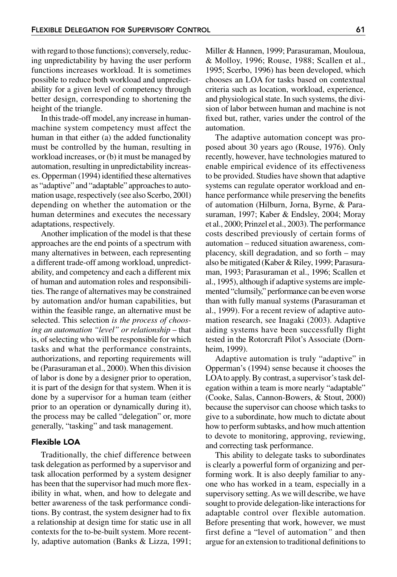with regard to those functions); conversely, reducing unpredictability by having the user perform functions increases workload. It is sometimes possible to reduce both workload and unpredictability for a given level of competency through better design, corresponding to shortening the height of the triangle.

In this trade-off model, any increase in humanmachine system competency must affect the human in that either (a) the added functionality must be controlled by the human, resulting in workload increases, or (b) it must be managed by automation, resulting in unpredictability increases. Opperman (1994) identified these alternatives as "adaptive" and "adaptable" approaches to automation usage, respectively (see also Scerbo, 2001) depending on whether the automation or the human determines and executes the necessary adaptations, respectively.

Another implication of the model is that these approaches are the end points of a spectrum with many alternatives in between, each representing a different trade-off among workload, unpredictability, and competency and each a different mix of human and automation roles and responsibilities. The range of alternatives may be constrained by automation and/or human capabilities, but within the feasible range, an alternative must be selected. This selection *is the process of choosing an automation "level" or relationship* – that is, of selecting who will be responsible for which tasks and what the performance constraints, authorizations, and reporting requirements will be (Parasuraman et al., 2000). When this division of labor is done by a designer prior to operation, it is part of the design for that system. When it is done by a supervisor for a human team (either prior to an operation or dynamically during it), the process may be called "delegation" or, more generally, "tasking" and task management.

#### Flexible LOA

Traditionally, the chief difference between task delegation as performed by a supervisor and task allocation performed by a system designer has been that the supervisor had much more flexibility in what, when, and how to delegate and better awareness of the task performance conditions. By contrast, the system designer had to fix a relationship at design time for static use in all contexts for the to-be-built system. More recently, adaptive automation (Banks & Lizza, 1991;

Miller & Hannen, 1999; Parasuraman, Mouloua, & Molloy, 1996; Rouse, 1988; Scallen et al., 1995; Scerbo, 1996) has been developed, which chooses an LOA for tasks based on contextual criteria such as location, workload, experience, and physiological state. In such systems, the division of labor between human and machine is not fixed but, rather, varies under the control of the automation.

The adaptive automation concept was proposed about 30 years ago (Rouse, 1976). Only recently, however, have technologies matured to enable empirical evidence of its effectiveness to be provided. Studies have shown that adaptive systems can regulate operator workload and enhance performance while preserving the benefits of automation (Hilburn, Jorna, Byrne, & Parasuraman, 1997; Kaber & Endsley, 2004; Moray et al., 2000; Prinzel et al., 2003). The performance costs described previously of certain forms of automation – reduced situation awareness, complacency, skill degradation, and so forth – may also be mitigated (Kaber & Riley, 1999; Parasuraman, 1993; Parasuraman et al., 1996; Scallen et al., 1995), although if adaptive systems are implemented "clumsily," performance can be even worse than with fully manual systems (Parasuraman et al., 1999). For a recent review of adaptive automation research, see Inagaki (2003). Adaptive aiding systems have been successfully flight tested in the Rotorcraft Pilot's Associate (Dornheim, 1999).

Adaptive automation is truly "adaptive" in Opperman's (1994) sense because it chooses the LOAto apply. By contrast, a supervisor's task delegation within a team is more nearly "adaptable" (Cooke, Salas, Cannon-Bowers, & Stout, 2000) because the supervisor can choose which tasks to give to a subordinate, how much to dictate about how to perform subtasks, and how much attention to devote to monitoring, approving, reviewing, and correcting task performance.

This ability to delegate tasks to subordinates is clearly a powerful form of organizing and performing work. It is also deeply familiar to anyone who has worked in a team, especially in a supervisory setting. As we will describe, we have sought to provide delegation-like interactions for adaptable control over flexible automation. Before presenting that work, however, we must first define a "level of automation*"* and then argue for an extension to traditional definitions to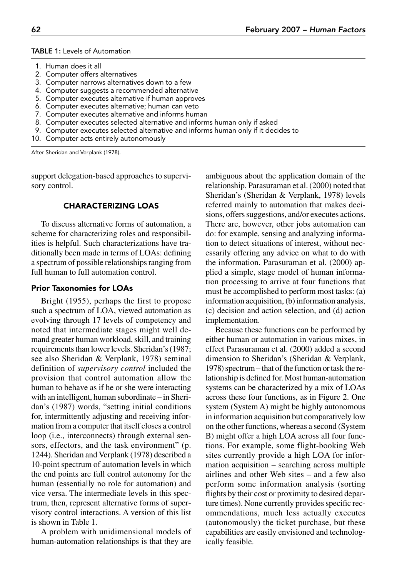#### TABLE 1: Levels of Automation

- 1. Human does it all
- 2. Computer offers alternatives
- 3. Computer narrows alternatives down to a few
- 4. Computer suggests a recommended alternative
- 5. Computer executes alternative if human approves
- 6. Computer executes alternative; human can veto
- 7. Computer executes alternative and informs human
- 8. Computer executes selected alternative and informs human only if asked
- 9. Computer executes selected alternative and informs human only if it decides to
- 10. Computer acts entirely autonomously

After Sheridan and Verplank (1978).

support delegation-based approaches to supervisory control.

# CHARACTERIZING LOAS

To discuss alternative forms of automation, a scheme for characterizing roles and responsibilities is helpful. Such characterizations have traditionally been made in terms of LOAs: defining a spectrum of possible relationships ranging from full human to full automation control.

## Prior Taxonomies for LOAs

Bright (1955), perhaps the first to propose such a spectrum of LOA, viewed automation as evolving through 17 levels of competency and noted that intermediate stages might well demand greater human workload, skill, and training requirements than lower levels. Sheridan's (1987; see also Sheridan & Verplank, 1978) seminal definition of *supervisory control* included the provision that control automation allow the human to behave as if he or she were interacting with an intelligent, human subordinate – in Sheridan's (1987) words, "setting initial conditions for, intermittently adjusting and receiving information from a computer that itself closes a control loop (i.e., interconnects) through external sensors, effectors, and the task environment" (p. 1244). Sheridan and Verplank (1978) described a 10-point spectrum of automation levels in which the end points are full control autonomy for the human (essentially no role for automation) and vice versa. The intermediate levels in this spectrum, then, represent alternative forms of supervisory control interactions. A version of this list is shown in Table 1.

A problem with unidimensional models of human-automation relationships is that they are

ambiguous about the application domain of the relationship. Parasuraman et al. (2000) noted that Sheridan's (Sheridan & Verplank, 1978) levels referred mainly to automation that makes decisions, offers suggestions, and/or executes actions. There are, however, other jobs automation can do: for example, sensing and analyzing information to detect situations of interest, without necessarily offering any advice on what to do with the information. Parasuraman et al. (2000) applied a simple, stage model of human information processing to arrive at four functions that must be accomplished to perform most tasks: (a) information acquisition, (b) information analysis, (c) decision and action selection, and (d) action implementation.

Because these functions can be performed by either human or automation in various mixes, in effect Parasuraman et al. (2000) added a second dimension to Sheridan's (Sheridan & Verplank, 1978) spectrum – that of the function or task the relationship is defined for. Most human-automation systems can be characterized by a mix of LOAs across these four functions, as in Figure 2. One system (System A) might be highly autonomous in information acquisition but comparatively low on the other functions, whereas a second (System B) might offer a high LOA across all four functions. For example, some flight-booking Web sites currently provide a high LOA for information acquisition – searching across multiple airlines and other Web sites – and a few also perform some information analysis (sorting flights by their cost or proximity to desired departure times). None currently provides specific recommendations, much less actually executes (autonomously) the ticket purchase, but these capabilities are easily envisioned and technologically feasible.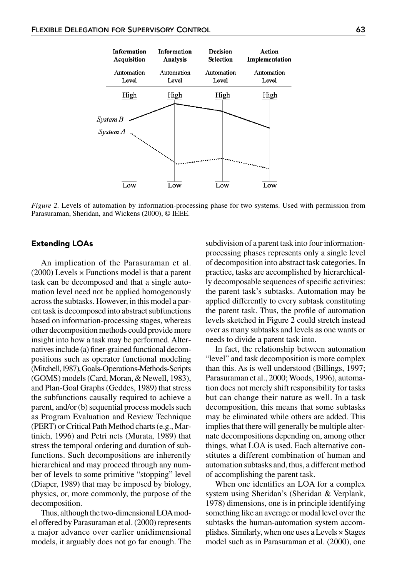

*Figure 2.* Levels of automation by information-processing phase for two systems. Used with permission from Parasuraman, Sheridan, and Wickens (2000), © IEEE.

#### Extending LOAs

An implication of the Parasuraman et al. (2000) Levels × Functions model is that a parent task can be decomposed and that a single automation level need not be applied homogenously across the subtasks. However, in this model a parent task is decomposed into abstract subfunctions based on information-processing stages, whereas other decomposition methods could provide more insight into how a task may be performed. Alternatives include (a) finer-grained functional decompositions such as operator functional modeling (Mitchell,1987),Goals-Operations-Methods-Scripts (GOMS) models (Card, Moran, & Newell, 1983), and Plan-Goal Graphs (Geddes, 1989) that stress the subfunctions causally required to achieve a parent, and/or (b) sequential process models such as Program Evaluation and Review Technique (PERT) or Critical Path Method charts (e.g., Martinich, 1996) and Petri nets (Murata, 1989) that stress the temporal ordering and duration of subfunctions. Such decompositions are inherently hierarchical and may proceed through any number of levels to some primitive "stopping" level (Diaper, 1989) that may be imposed by biology, physics, or, more commonly, the purpose of the decomposition.

Thus, although the two-dimensional LOAmodel offered by Parasuraman et al. (2000) represents a major advance over earlier unidimensional models, it arguably does not go far enough. The subdivision of a parent task into four informationprocessing phases represents only a single level of decomposition into abstract task categories. In practice, tasks are accomplished by hierarchically decomposable sequences of specific activities: the parent task's subtasks. Automation may be applied differently to every subtask constituting the parent task. Thus, the profile of automation levels sketched in Figure 2 could stretch instead over as many subtasks and levels as one wants or needs to divide a parent task into.

In fact, the relationship between automation "level" and task decomposition is more complex than this. As is well understood (Billings, 1997; Parasuraman et al., 2000; Woods, 1996), automation does not merely shift responsibility for tasks but can change their nature as well. In a task decomposition, this means that some subtasks may be eliminated while others are added. This implies that there will generally be multiple alternate decompositions depending on, among other things, what LOA is used. Each alternative constitutes a different combination of human and automation subtasks and, thus, a different method of accomplishing the parent task.

When one identifies an LOA for a complex system using Sheridan's (Sheridan & Verplank, 1978) dimensions, one is in principle identifying something like an average or modal level over the subtasks the human-automation system accomplishes. Similarly, when one uses a Levels × Stages model such as in Parasuraman et al. (2000), one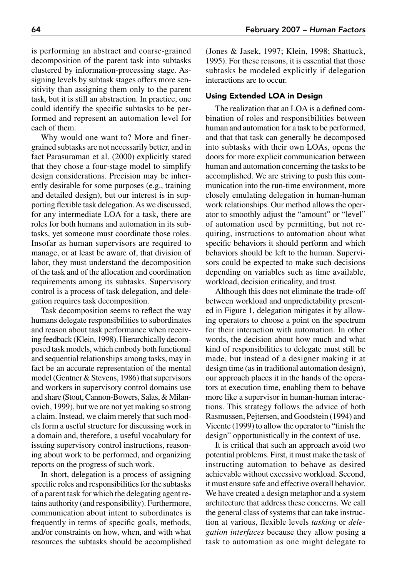is performing an abstract and coarse-grained decomposition of the parent task into subtasks clustered by information-processing stage. Assigning levels by subtask stages offers more sensitivity than assigning them only to the parent task, but it is still an abstraction. In practice, one could identify the specific subtasks to be performed and represent an automation level for each of them.

Why would one want to? More and finergrained subtasks are not necessarily better, and in fact Parasuraman et al. (2000) explicitly stated that they chose a four-stage model to simplify design considerations. Precision may be inherently desirable for some purposes (e.g., training and detailed design), but our interest is in supporting flexible task delegation. As we discussed, for any intermediate LOA for a task, there are roles for both humans and automation in its subtasks, yet someone must coordinate those roles. Insofar as human supervisors are required to manage, or at least be aware of, that division of labor, they must understand the decomposition of the task and of the allocation and coordination requirements among its subtasks. Supervisory control is a process of task delegation, and delegation requires task decomposition.

Task decomposition seems to reflect the way humans delegate responsibilities to subordinates and reason about task performance when receiving feedback (Klein, 1998). Hierarchically decomposed task models, which embody both functional and sequential relationships among tasks, may in fact be an accurate representation of the mental model (Gentner & Stevens, 1986) that supervisors and workers in supervisory control domains use and share (Stout, Cannon-Bowers, Salas, & Milanovich, 1999), but we are not yet making so strong a claim. Instead, we claim merely that such models form a useful structure for discussing work in a domain and, therefore, a useful vocabulary for issuing supervisory control instructions, reasoning about work to be performed, and organizing reports on the progress of such work.

In short, delegation is a process of assigning specific roles and responsibilities for the subtasks of a parent task for which the delegating agent retains authority (and responsibility). Furthermore, communication about intent to subordinates is frequently in terms of specific goals, methods, and/or constraints on how, when, and with what resources the subtasks should be accomplished (Jones & Jasek, 1997; Klein, 1998; Shattuck, 1995). For these reasons, it is essential that those subtasks be modeled explicitly if delegation interactions are to occur.

#### Using Extended LOA in Design

The realization that an LOA is a defined combination of roles and responsibilities between human and automation for a task to be performed, and that that task can generally be decomposed into subtasks with their own LOAs, opens the doors for more explicit communication between human and automation concerning the tasks to be accomplished. We are striving to push this communication into the run-time environment, more closely emulating delegation in human-human work relationships. Our method allows the operator to smoothly adjust the "amount" or "level" of automation used by permitting, but not requiring, instructions to automation about what specific behaviors it should perform and which behaviors should be left to the human. Supervisors could be expected to make such decisions depending on variables such as time available, workload, decision criticality, and trust.

Although this does not eliminate the trade-off between workload and unpredictability presented in Figure 1, delegation mitigates it by allowing operators to choose a point on the spectrum for their interaction with automation. In other words, the decision about how much and what kind of responsibilities to delegate must still be made, but instead of a designer making it at design time (as in traditional automation design), our approach places it in the hands of the operators at execution time, enabling them to behave more like a supervisor in human-human interactions. This strategy follows the advice of both Rasmussen, Pejtersen, and Goodstein (1994) and Vicente (1999) to allow the operator to "finish the design" opportunistically in the context of use.

It is critical that such an approach avoid two potential problems. First, it must make the task of instructing automation to behave as desired achievable without excessive workload. Second, it must ensure safe and effective overall behavior. We have created a design metaphor and a system architecture that address these concerns. We call the general class of systems that can take instruction at various, flexible levels *tasking* or *delegation interfaces* because they allow posing a task to automation as one might delegate to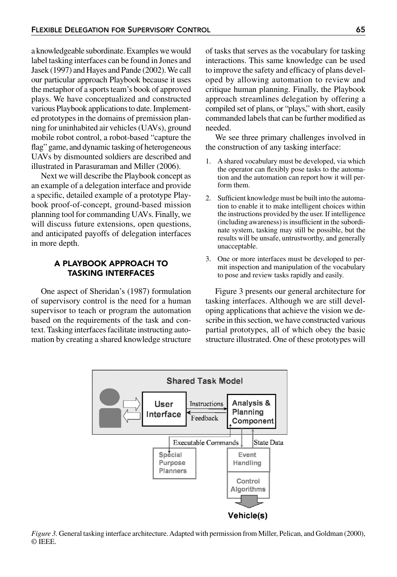a knowledgeable subordinate. Examples we would label tasking interfaces can be found in Jones and Jasek (1997) and Hayes and Pande (2002). We call our particular approach Playbook because it uses the metaphor of a sports team's book of approved plays. We have conceptualized and constructed various Playbook applications to date. Implemented prototypes in the domains of premission planning for uninhabited air vehicles (UAVs), ground mobile robot control, a robot-based "capture the flag" game, and dynamic tasking of heterogeneous UAVs by dismounted soldiers are described and illustrated in Parasuraman and Miller (2006).

Next we will describe the Playbook concept as an example of a delegation interface and provide a specific, detailed example of a prototype Playbook proof-of-concept, ground-based mission planning tool for commanding UAVs. Finally, we will discuss future extensions, open questions, and anticipated payoffs of delegation interfaces in more depth.

## A PLAYBOOK APPROACH TO TASKING INTERFACES

One aspect of Sheridan's (1987) formulation of supervisory control is the need for a human supervisor to teach or program the automation based on the requirements of the task and context. Tasking interfaces facilitate instructing automation by creating a shared knowledge structure of tasks that serves as the vocabulary for tasking interactions. This same knowledge can be used to improve the safety and efficacy of plans developed by allowing automation to review and critique human planning. Finally, the Playbook approach streamlines delegation by offering a compiled set of plans, or "plays," with short, easily commanded labels that can be further modified as needed.

We see three primary challenges involved in the construction of any tasking interface:

- 1. A shared vocabulary must be developed, via which the operator can flexibly pose tasks to the automation and the automation can report how it will perform them.
- 2. Sufficient knowledge must be built into the automation to enable it to make intelligent choices within the instructions provided by the user. If intelligence (including awareness) is insufficient in the subordinate system, tasking may still be possible, but the results will be unsafe, untrustworthy, and generally unacceptable.
- 3. One or more interfaces must be developed to permit inspection and manipulation of the vocabulary to pose and review tasks rapidly and easily.

Figure 3 presents our general architecture for tasking interfaces. Although we are still developing applications that achieve the vision we describe in this section, we have constructed various partial prototypes, all of which obey the basic structure illustrated. One of these prototypes will



*Figure 3.* General tasking interface architecture. Adapted with permission from Miller, Pelican, and Goldman (2000), © IEEE.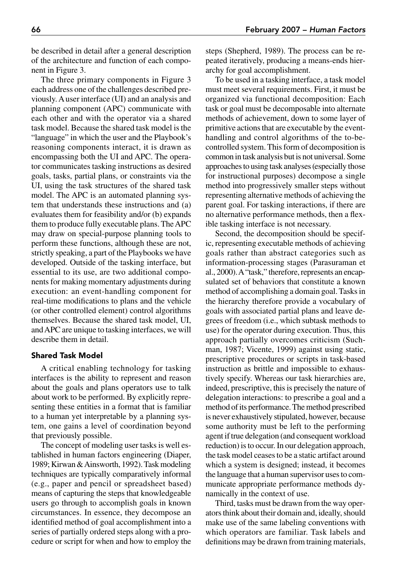be described in detail after a general description of the architecture and function of each component in Figure 3.

The three primary components in Figure 3 each address one of the challenges described previously. A user interface (UI) and an analysis and planning component (APC) communicate with each other and with the operator via a shared task model. Because the shared task model is the "language" in which the user and the Playbook's reasoning components interact, it is drawn as encompassing both the UI and APC. The operator communicates tasking instructions as desired goals, tasks, partial plans, or constraints via the UI, using the task structures of the shared task model. The APC is an automated planning system that understands these instructions and (a) evaluates them for feasibility and/or (b) expands them to produce fully executable plans. The APC may draw on special-purpose planning tools to perform these functions, although these are not, strictly speaking, a part of the Playbooks we have developed. Outside of the tasking interface, but essential to its use, are two additional components for making momentary adjustments during execution: an event-handling component for real-time modifications to plans and the vehicle (or other controlled element) control algorithms themselves. Because the shared task model, UI, and APC are unique to tasking interfaces, we will describe them in detail.

#### Shared Task Model

A critical enabling technology for tasking interfaces is the ability to represent and reason about the goals and plans operators use to talk about work to be performed. By explicitly representing these entities in a format that is familiar to a human yet interpretable by a planning system, one gains a level of coordination beyond that previously possible.

The concept of modeling user tasks is well established in human factors engineering (Diaper, 1989; Kirwan & Ainsworth, 1992). Task modeling techniques are typically comparatively informal (e.g., paper and pencil or spreadsheet based) means of capturing the steps that knowledgeable users go through to accomplish goals in known circumstances. In essence, they decompose an identified method of goal accomplishment into a series of partially ordered steps along with a procedure or script for when and how to employ the

steps (Shepherd, 1989). The process can be repeated iteratively, producing a means-ends hierarchy for goal accomplishment.

To be used in a tasking interface, a task model must meet several requirements. First, it must be organized via functional decomposition: Each task or goal must be decomposable into alternate methods of achievement, down to some layer of primitive actions that are executable by the eventhandling and control algorithms of the to-becontrolled system. This form of decomposition is common in task analysis but is not universal. Some approaches to using task analyses (especially those for instructional purposes) decompose a single method into progressively smaller steps without representing alternative methods of achieving the parent goal. For tasking interactions, if there are no alternative performance methods, then a flexible tasking interface is not necessary.

Second, the decomposition should be specific, representing executable methods of achieving goals rather than abstract categories such as information-processing stages (Parasuraman et al., 2000). A"task," therefore, represents an encapsulated set of behaviors that constitute a known method of accomplishing a domain goal. Tasks in the hierarchy therefore provide a vocabulary of goals with associated partial plans and leave degrees of freedom (i.e., which subtask methods to use) for the operator during execution. Thus, this approach partially overcomes criticism (Suchman, 1987; Vicente, 1999) against using static, prescriptive procedures or scripts in task-based instruction as brittle and impossible to exhaustively specify. Whereas our task hierarchies are, indeed, prescriptive, this is precisely the nature of delegation interactions: to prescribe a goal and a method of its performance. The method prescribed is never exhaustively stipulated, however, because some authority must be left to the performing agent if true delegation (and consequent workload reduction) is to occur. In our delegation approach, the task model ceases to be a static artifact around which a system is designed; instead, it becomes the language that a human supervisor uses to communicate appropriate performance methods dynamically in the context of use.

Third, tasks must be drawn from the way operators think about their domain and, ideally, should make use of the same labeling conventions with which operators are familiar. Task labels and definitions may be drawn from training materials,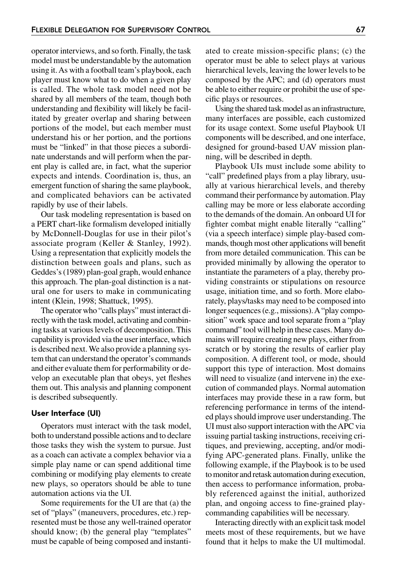operator interviews, and so forth. Finally, the task model must be understandable by the automation using it. As with a football team's playbook, each player must know what to do when a given play is called. The whole task model need not be shared by all members of the team, though both understanding and flexibility will likely be facilitated by greater overlap and sharing between portions of the model, but each member must understand his or her portion, and the portions must be "linked" in that those pieces a subordinate understands and will perform when the parent play is called are, in fact, what the superior expects and intends. Coordination is, thus, an emergent function of sharing the same playbook, and complicated behaviors can be activated rapidly by use of their labels.

Our task modeling representation is based on a PERT chart-like formalism developed initially by McDonnell-Douglas for use in their pilot's associate program (Keller & Stanley, 1992). Using a representation that explicitly models the distinction between goals and plans, such as Geddes's (1989) plan-goal graph, would enhance this approach. The plan-goal distinction is a natural one for users to make in communicating intent (Klein, 1998; Shattuck, 1995).

The operator who "calls plays" must interact directly with the task model, activating and combining tasks at various levels of decomposition. This capability is provided via the user interface, which is described next. We also provide a planning system that can understand the operator's commands and either evaluate them for performability or develop an executable plan that obeys, yet fleshes them out. This analysis and planning component is described subsequently.

## User Interface (UI)

Operators must interact with the task model, both to understand possible actions and to declare those tasks they wish the system to pursue. Just as a coach can activate a complex behavior via a simple play name or can spend additional time combining or modifying play elements to create new plays, so operators should be able to tune automation actions via the UI.

Some requirements for the UI are that (a) the set of "plays" (maneuvers, procedures, etc.) represented must be those any well-trained operator should know; (b) the general play "templates" must be capable of being composed and instantiated to create mission-specific plans; (c) the operator must be able to select plays at various hierarchical levels, leaving the lower levels to be composed by the APC; and (d) operators must be able to either require or prohibit the use of specific plays or resources.

Using the shared task model as an infrastructure, many interfaces are possible, each customized for its usage context. Some useful Playbook UI components will be described, and one interface, designed for ground-based UAV mission planning, will be described in depth.

Playbook UIs must include some ability to "call" predefined plays from a play library, usually at various hierarchical levels, and thereby command their performance by automation. Play calling may be more or less elaborate according to the demands of the domain. An onboard UI for fighter combat might enable literally "calling" (via a speech interface) simple play-based commands, though most other applications will benefit from more detailed communication. This can be provided minimally by allowing the operator to instantiate the parameters of a play, thereby providing constraints or stipulations on resource usage, initiation time, and so forth. More elaborately, plays/tasks may need to be composed into longer sequences (e.g., missions). A"play composition" work space and tool separate from a "play command" tool will help in these cases. Many domains will require creating new plays, either from scratch or by storing the results of earlier play composition. A different tool, or mode, should support this type of interaction. Most domains will need to visualize (and intervene in) the execution of commanded plays. Normal automation interfaces may provide these in a raw form, but referencing performance in terms of the intended plays should improve user understanding. The UI must also support interaction with the APC via issuing partial tasking instructions, receiving critiques, and previewing, accepting, and/or modifying APC-generated plans. Finally, unlike the following example, if the Playbook is to be used to monitor and retask automation during execution, then access to performance information, probably referenced against the initial, authorized plan, and ongoing access to fine-grained playcommanding capabilities will be necessary.

Interacting directly with an explicit task model meets most of these requirements, but we have found that it helps to make the UI multimodal.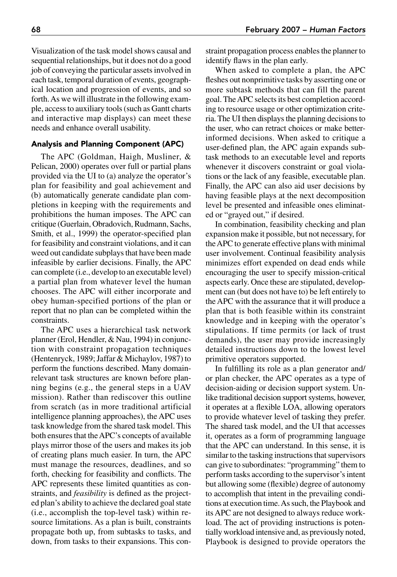Visualization of the task model shows causal and sequential relationships, but it does not do a good job of conveying the particular assets involved in each task, temporal duration of events, geographical location and progression of events, and so forth. As we will illustrate in the following example, access to auxiliary tools (such as Gantt charts and interactive map displays) can meet these needs and enhance overall usability.

#### Analysis and Planning Component (APC)

The APC (Goldman, Haigh, Musliner, & Pelican, 2000) operates over full or partial plans provided via the UI to (a) analyze the operator's plan for feasibility and goal achievement and (b) automatically generate candidate plan completions in keeping with the requirements and prohibitions the human imposes. The APC can critique (Guerlain, Obradovich, Rudmann, Sachs, Smith, et al., 1999) the operator-specified plan for feasibility and constraint violations, and it can weed out candidate subplays that have been made infeasible by earlier decisions. Finally, the APC can complete (i.e., develop to an executable level) a partial plan from whatever level the human chooses. The APC will either incorporate and obey human-specified portions of the plan or report that no plan can be completed within the constraints.

The APC uses a hierarchical task network planner (Erol, Hendler, & Nau, 1994) in conjunction with constraint propagation techniques (Hentenryck, 1989; Jaffar & Michaylov, 1987) to perform the functions described. Many domainrelevant task structures are known before planning begins (e.g., the general steps in a UAV mission). Rather than rediscover this outline from scratch (as in more traditional artificial intelligence planning approaches), the APC uses task knowledge from the shared task model. This both ensures that the APC's concepts of available plays mirror those of the users and makes its job of creating plans much easier. In turn, the APC must manage the resources, deadlines, and so forth, checking for feasibility and conflicts. The APC represents these limited quantities as constraints, and *feasibility* is defined as the projected plan's ability to achieve the declared goal state (i.e., accomplish the top-level task) within resource limitations. As a plan is built, constraints propagate both up, from subtasks to tasks, and down, from tasks to their expansions. This constraint propagation process enables the planner to identify flaws in the plan early.

When asked to complete a plan, the APC fleshes out nonprimitive tasks by asserting one or more subtask methods that can fill the parent goal. The APC selects its best completion according to resource usage or other optimization criteria. The UI then displays the planning decisions to the user, who can retract choices or make betterinformed decisions. When asked to critique a user-defined plan, the APC again expands subtask methods to an executable level and reports whenever it discovers constraint or goal violations or the lack of any feasible, executable plan. Finally, the APC can also aid user decisions by having feasible plays at the next decomposition level be presented and infeasible ones eliminated or "grayed out," if desired.

In combination, feasibility checking and plan expansion make it possible, but not necessary, for the APC to generate effective plans with minimal user involvement. Continual feasibility analysis minimizes effort expended on dead ends while encouraging the user to specify mission-critical aspects early. Once these are stipulated, development can (but does not have to) be left entirely to the APC with the assurance that it will produce a plan that is both feasible within its constraint knowledge and in keeping with the operator's stipulations. If time permits (or lack of trust demands), the user may provide increasingly detailed instructions down to the lowest level primitive operators supported.

In fulfilling its role as a plan generator and/ or plan checker, the APC operates as a type of decision-aiding or decision support system. Unlike traditional decision support systems, however, it operates at a flexible LOA, allowing operators to provide whatever level of tasking they prefer. The shared task model, and the UI that accesses it, operates as a form of programming language that the APC can understand. In this sense, it is similar to the tasking instructions that supervisors can give to subordinates: "programming" them to perform tasks according to the supervisor's intent but allowing some (flexible) degree of autonomy to accomplish that intent in the prevailing conditions at execution time. As such, the Playbook and its APC are not designed to always reduce workload. The act of providing instructions is potentially workload intensive and, as previously noted, Playbook is designed to provide operators the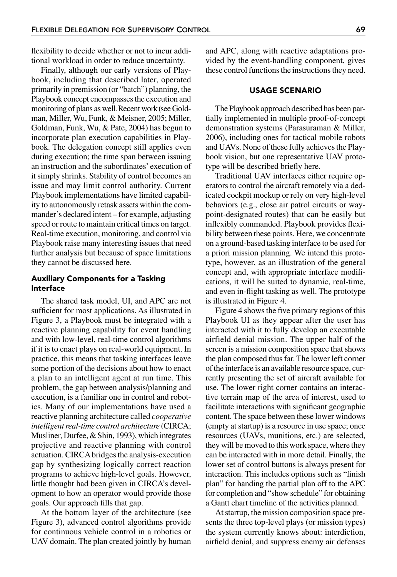flexibility to decide whether or not to incur additional workload in order to reduce uncertainty.

Finally, although our early versions of Playbook, including that described later, operated primarily in premission (or "batch") planning, the Playbook concept encompasses the execution and monitoring of plans as well. Recent work (see Goldman, Miller, Wu, Funk, & Meisner, 2005; Miller, Goldman, Funk, Wu, & Pate, 2004) has begun to incorporate plan execution capabilities in Playbook. The delegation concept still applies even during execution; the time span between issuing an instruction and the subordinates' execution of it simply shrinks. Stability of control becomes an issue and may limit control authority. Current Playbook implementations have limited capability to autonomously retask assets within the commander's declared intent – for example, adjusting speed or route to maintain critical times on target. Real-time execution, monitoring, and control via Playbook raise many interesting issues that need further analysis but because of space limitations they cannot be discussed here.

# Auxiliary Components for a Tasking Interface

The shared task model, UI, and APC are not sufficient for most applications. As illustrated in Figure 3, a Playbook must be integrated with a reactive planning capability for event handling and with low-level, real-time control algorithms if it is to enact plays on real-world equipment. In practice, this means that tasking interfaces leave some portion of the decisions about how to enact a plan to an intelligent agent at run time. This problem, the gap between analysis/planning and execution, is a familiar one in control and robotics. Many of our implementations have used a reactive planning architecture called *cooperative intelligent real-time control architecture* (CIRCA; Musliner, Durfee, & Shin, 1993), which integrates projective and reactive planning with control actuation. CIRCAbridges the analysis-execution gap by synthesizing logically correct reaction programs to achieve high-level goals. However, little thought had been given in CIRCA's development to how an operator would provide those goals. Our approach fills that gap.

At the bottom layer of the architecture (see Figure 3), advanced control algorithms provide for continuous vehicle control in a robotics or UAV domain. The plan created jointly by human and APC, along with reactive adaptations provided by the event-handling component, gives these control functions the instructions they need.

## USAGE SCENARIO

The Playbook approach described has been partially implemented in multiple proof-of-concept demonstration systems (Parasuraman & Miller, 2006), including ones for tactical mobile robots and UAVs. None of these fully achieves the Playbook vision, but one representative UAV prototype will be described briefly here.

Traditional UAV interfaces either require operators to control the aircraft remotely via a dedicated cockpit mockup or rely on very high-level behaviors (e.g., close air patrol circuits or waypoint-designated routes) that can be easily but inflexibly commanded. Playbook provides flexibility between these points. Here, we concentrate on a ground-based tasking interface to be used for a priori mission planning. We intend this prototype, however, as an illustration of the general concept and, with appropriate interface modifications, it will be suited to dynamic, real-time, and even in-flight tasking as well. The prototype is illustrated in Figure 4.

Figure 4 shows the five primary regions of this Playbook UI as they appear after the user has interacted with it to fully develop an executable airfield denial mission. The upper half of the screen is a mission composition space that shows the plan composed thus far. The lower left corner of the interface is an available resource space, currently presenting the set of aircraft available for use. The lower right corner contains an interactive terrain map of the area of interest, used to facilitate interactions with significant geographic content. The space between these lower windows (empty at startup) is a resource in use space; once resources (UAVs, munitions, etc.) are selected, they will be moved to this work space, where they can be interacted with in more detail. Finally, the lower set of control buttons is always present for interaction. This includes options such as "finish plan" for handing the partial plan off to the APC for completion and "show schedule" for obtaining a Gantt chart timeline of the activities planned.

At startup, the mission composition space presents the three top-level plays (or mission types) the system currently knows about: interdiction, airfield denial, and suppress enemy air defenses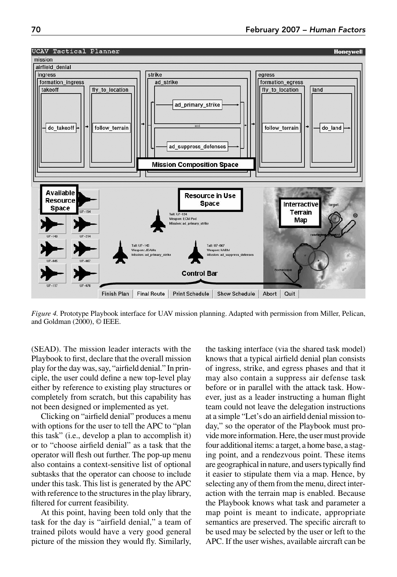

*Figure 4.* Prototype Playbook interface for UAV mission planning. Adapted with permission from Miller, Pelican, and Goldman (2000), © IEEE.

(SEAD). The mission leader interacts with the Playbook to first, declare that the overall mission play for the day was, say, "airfield denial." In principle, the user could define a new top-level play either by reference to existing play structures or completely from scratch, but this capability has not been designed or implemented as yet.

Clicking on "airfield denial" produces a menu with options for the user to tell the APC to "plan this task" (i.e., develop a plan to accomplish it) or to "choose airfield denial" as a task that the operator will flesh out further. The pop-up menu also contains a context-sensitive list of optional subtasks that the operator can choose to include under this task. This list is generated by the APC with reference to the structures in the play library, filtered for current feasibility.

At this point, having been told only that the task for the day is "airfield denial," a team of trained pilots would have a very good general picture of the mission they would fly. Similarly,

the tasking interface (via the shared task model) knows that a typical airfield denial plan consists of ingress, strike, and egress phases and that it may also contain a suppress air defense task before or in parallel with the attack task. However, just as a leader instructing a human flight team could not leave the delegation instructions at a simple "Let's do an airfield denial mission today," so the operator of the Playbook must provide more information. Here, the user must provide four additional items: a target, a home base, a staging point, and a rendezvous point. These items are geographical in nature, and users typically find it easier to stipulate them via a map. Hence, by selecting any of them from the menu, direct interaction with the terrain map is enabled. Because the Playbook knows what task and parameter a map point is meant to indicate, appropriate semantics are preserved. The specific aircraft to be used may be selected by the user or left to the APC. If the user wishes, available aircraft can be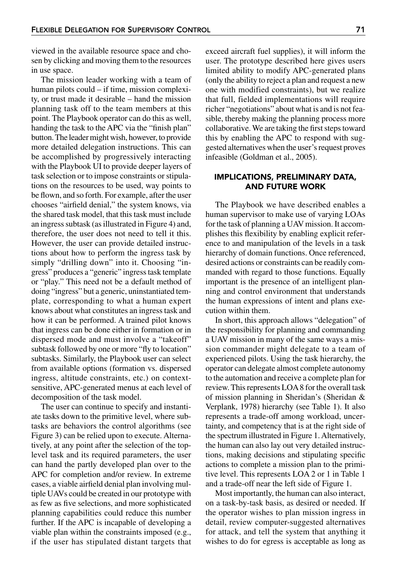viewed in the available resource space and chosen by clicking and moving them to the resources in use space.

The mission leader working with a team of human pilots could – if time, mission complexity, or trust made it desirable – hand the mission planning task off to the team members at this point. The Playbook operator can do this as well, handing the task to the APC via the "finish plan" button. The leader might wish, however, to provide more detailed delegation instructions. This can be accomplished by progressively interacting with the Playbook UI to provide deeper layers of task selection or to impose constraints or stipulations on the resources to be used, way points to be flown, and so forth. For example, after the user chooses "airfield denial," the system knows, via the shared task model, that this task must include an ingress subtask (as illustrated in Figure 4) and, therefore, the user does not need to tell it this. However, the user can provide detailed instructions about how to perform the ingress task by simply "drilling down" into it. Choosing "ingress" produces a "generic" ingress task template or "play." This need not be a default method of doing "ingress" but a generic, uninstantiated template, corresponding to what a human expert knows about what constitutes an ingress task and how it can be performed. A trained pilot knows that ingress can be done either in formation or in dispersed mode and must involve a "takeoff" subtask followed by one or more "fly to location" subtasks. Similarly, the Playbook user can select from available options (formation vs. dispersed ingress, altitude constraints, etc.) on contextsensitive, APC-generated menus at each level of decomposition of the task model.

The user can continue to specify and instantiate tasks down to the primitive level, where subtasks are behaviors the control algorithms (see Figure 3) can be relied upon to execute. Alternatively, at any point after the selection of the toplevel task and its required parameters, the user can hand the partly developed plan over to the APC for completion and/or review. In extreme cases, a viable airfield denial plan involving multiple UAVs could be created in our prototype with as few as five selections, and more sophisticated planning capabilities could reduce this number further. If the APC is incapable of developing a viable plan within the constraints imposed (e.g., if the user has stipulated distant targets that exceed aircraft fuel supplies), it will inform the user. The prototype described here gives users limited ability to modify APC-generated plans (only the ability to reject a plan and request a new one with modified constraints), but we realize that full, fielded implementations will require richer "negotiations" about what is and is not feasible, thereby making the planning process more collaborative. We are taking the first steps toward this by enabling the APC to respond with suggested alternatives when the user's request proves infeasible (Goldman et al., 2005).

## IMPLICATIONS, PRELIMINARY DATA, AND FUTURE WORK

The Playbook we have described enables a human supervisor to make use of varying LOAs for the task of planning a UAV mission. It accomplishes this flexibility by enabling explicit reference to and manipulation of the levels in a task hierarchy of domain functions. Once referenced, desired actions or constraints can be readily commanded with regard to those functions. Equally important is the presence of an intelligent planning and control environment that understands the human expressions of intent and plans execution within them.

In short, this approach allows "delegation" of the responsibility for planning and commanding a UAV mission in many of the same ways a mission commander might delegate to a team of experienced pilots. Using the task hierarchy, the operator can delegate almost complete autonomy to the automation and receive a complete plan for review. This represents LOA8 for the overall task of mission planning in Sheridan's (Sheridan & Verplank, 1978) hierarchy (see Table 1). It also represents a trade-off among workload, uncertainty, and competency that is at the right side of the spectrum illustrated in Figure 1. Alternatively, the human can also lay out very detailed instructions, making decisions and stipulating specific actions to complete a mission plan to the primitive level. This represents LOA 2 or 1 in Table 1 and a trade-off near the left side of Figure 1.

Most importantly, the human can also interact, on a task-by-task basis, as desired or needed. If the operator wishes to plan mission ingress in detail, review computer-suggested alternatives for attack, and tell the system that anything it wishes to do for egress is acceptable as long as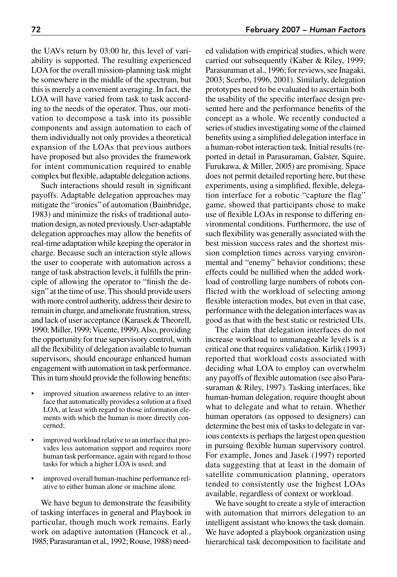the UAVs return by 03:00 hr, this level of variability is supported. The resulting experienced LOA for the overall mission-planning task might be somewhere in the middle of the spectrum, but this is merely a convenient averaging. In fact, the LOA will have varied from task to task according to the needs of the operator. Thus, our motivation to decompose a task into its possible components and assign automation to each of them individually not only provides a theoretical expansion of the LOAs that previous authors have proposed but also provides the framework for intent communication required to enable complex but flexible, adaptable delegation actions.

Such interactions should result in significant payoffs. Adaptable delegation approaches may mitigate the "ironies" of automation (Bainbridge, 1983) and minimize the risks of traditional automation design, as noted previously. User-adaptable delegation approaches may allow the benefits of real-time adaptation while keeping the operator in charge. Because such an interaction style allows the user to cooperate with automation across a range of task abstraction levels, it fulfills the principle of allowing the operator to "finish the design" at the time of use. This should provide users with more control authority, address their desire to remain in charge, and ameliorate frustration, stress, and lack of user acceptance (Karasek & Theorell, 1990; Miller,1999; Vicente,1999). Also, providing the opportunity for true supervisory control, with all the flexibility of delegation available to human supervisors, should encourage enhanced human engagement with automation in task performance. This in turn should provide the following benefits:

- improved situation awareness relative to an interface that automatically provides a solution at a fixed LOA, at least with regard to those information elements with which the human is more directly concerned;
- improved workload relative to an interface that provides less automation support and requires more human task performance, again with regard to those tasks for which a higher LOA is used; and
- improved overall human-machine performance relative to either human alone or machine alone.

We have begun to demonstrate the feasibility of tasking interfaces in general and Playbook in particular, though much work remains. Early work on adaptive automation (Hancock et al., 1985; Parasuraman et al., 1992; Rouse, 1988) needed validation with empirical studies, which were carried out subsequently (Kaber & Riley, 1999; Parasuraman et al., 1996; for reviews, see Inagaki, 2003; Scerbo, 1996, 2001). Similarly, delegation prototypes need to be evaluated to ascertain both the usability of the specific interface design presented here and the performance benefits of the concept as a whole. We recently conducted a series of studies investigating some of the claimed benefits using a simplified delegation interface in a human-robot interaction task. Initial results (reported in detail in Parasuraman, Galster, Squire, Furukawa, & Miller, 2005) are promising. Space does not permit detailed reporting here, but these experiments, using a simplified, flexible, delegation interface for a robotic "capture the flag" game, showed that participants chose to make use of flexible LOAs in response to differing environmental conditions. Furthermore, the use of such flexibility was generally associated with the best mission success rates and the shortest mission completion times across varying environmental and "enemy" behavior conditions; these effects could be nullified when the added workload of controlling large numbers of robots conflicted with the workload of selecting among flexible interaction modes, but even in that case, performance with the delegation interfaces was as good as that with the best static or restricted UIs.

The claim that delegation interfaces do not increase workload to unmanageable levels is a critical one that requires validation. Kirlik (1993) reported that workload costs associated with deciding what LOA to employ can overwhelm any payoffs of flexible automation (see also Parasuraman & Riley, 1997). Tasking interfaces, like human-human delegation, require thought about what to delegate and what to retain. Whether human operators (as opposed to designers) can determine the best mix of tasks to delegate in various contexts is perhaps the largest open question in pursuing flexible human supervisory control. For example, Jones and Jasek (1997) reported data suggesting that at least in the domain of satellite communication planning, operators tended to consistently use the highest LOAs available, regardless of context or workload.

We have sought to create a style of interaction with automation that mirrors delegation to an intelligent assistant who knows the task domain. We have adopted a playbook organization using hierarchical task decomposition to facilitate and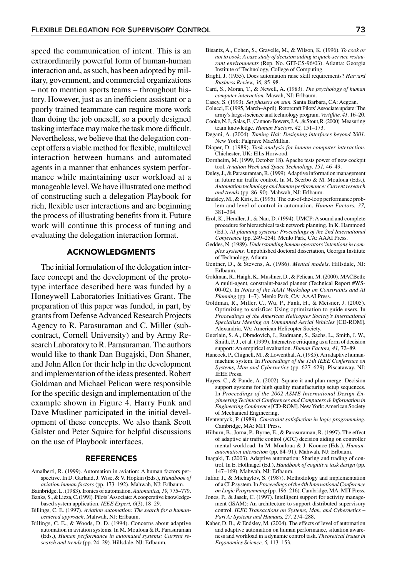speed the communication of intent. This is an extraordinarily powerful form of human-human interaction and, as such, has been adopted by military, government, and commercial organizations – not to mention sports teams – throughout history. However, just as an inefficient assistant or a poorly trained teammate can require more work than doing the job oneself, so a poorly designed tasking interface may make the task more difficult. Nevertheless, we believe that the delegation concept offers a viable method for flexible, multilevel interaction between humans and automated agents in a manner that enhances system performance while maintaining user workload at a manageable level. We have illustrated one method of constructing such a delegation Playbook for rich, flexible user interactions and are beginning the process of illustrating benefits from it. Future work will continue this process of tuning and evaluating the delegation interaction format.

## ACKNOWLEDGMENTS

The initial formulation of the delegation interface concept and the development of the prototype interface described here was funded by a Honeywell Laboratories Initiatives Grant. The preparation of this paper was funded, in part, by grants from Defense Advanced Research Projects Agency to R. Parasuraman and C. Miller (subcontract, Cornell University) and by Army Research Laboratory to R. Parasuraman. The authors would like to thank Dan Bugajski, Don Shaner, and John Allen for their help in the development and implementation of the ideas presented. Robert Goldman and Michael Pelican were responsible for the specific design and implementation of the example shown in Figure 4. Harry Funk and Dave Musliner participated in the initial development of these concepts. We also thank Scott Galster and Peter Squire for helpful discussions on the use of Playbook interfaces.

#### **REFERENCES**

- Amalberti, R. (1999). Automation in aviation: A human factors perspective. In D. Garland, J. Wise, & V. Hopkin (Eds.), *Handbook of aviation human factors* (pp. 173–192). Mahwah, NJ: Erlbaum.
- Bainbridge, L. (1983). Ironies of automation. *Automatica, 19,* 775–779. Banks, S.,&Lizza,C.(1991). Pilots'Associate: Acooperative knowledgebased system application. *IEEE Expert, 6*(3), 18–29.
- Billings, C. E. (1997). *Aviation automation: The search for a humancentered approach*. Mahwah, NJ: Erlbaum.
- Billings, C. E., & Woods, D. D. (1994). Concerns about adaptive automation in aviation systems. In M. Mouloua & R. Parasuraman (Eds.), *Human performance in automated systems: Current research and trends* (pp. 24–29). Hillsdale, NJ: Erlbaum.
- Bisantz, A., Cohen, S., Gravelle, M., & Wilson, K. (1996). *To cook or not to cook: A case study of decision aiding in quick-service restaurant environments* (Rep. No. GIT-CS-96/03). Atlanta: Georgia Institute of Technology, College of Computing.
- Bright, J. (1955). Does automation raise skill requirements? *Harvard Business Review, 36,* 85–98.
- Card, S., Moran, T., & Newell, A. (1983). *The psychology of human computer interaction.* Mawah, NJ: Erlbaum.
- Casey, S. (1993). *Set phasers on stun.* Santa Barbara, CA: Aegean.
- Colucci, F. (1995, March–April). Rotorcraft Pilots'Associate update: The army's largest science and technology program. *Vertiflite, 41,* 16–20.
- Cooke,N.J., Salas,E.,Cannon-Bowers,J.A.,&Stout,R.(2000). Measuring team knowledge. *Human Factors, 42,* 151–173.
- Degani, A. (2004). *Taming Hal: Designing interfaces beyond 2001.* New York: Palgrave MacMillan.
- Diaper, D. (1989). *Task analysis for human-computer interaction.* Chichester, UK: Ellis Horwood.
- Dornheim, M. (1999, October 18). Apache tests power of new cockpit tool. *Aviation Week and Space Technology, 151,* 46–49.
- Duley, J., & Parasuraman, R. (1999). Adaptive information management in future air traffic control. In M. Scerbo & M. Mouloua (Eds.), *Automation technology and human performance: Current research and trends* (pp. 86–90). Mahwah, NJ: Erlbaum.
- Endsley, M., & Kiris, E. (1995). The out-of-the-loop performance problem and level of control in automation. *Human Factors, 37,* 381–394.
- Erol, K., Hendler, J., & Nau, D. (1994). UMCP: A sound and complete procedure for hierarchical task network planning. In K. Hammond (Ed.), *AI planning systems: Proceedings of the 2nd International Conference* (pp. 249–254). Menlo Park, CA: AAAI Press.
- Geddes, N. (1989). *Understanding human operators'intentions in complex systems.* Unpublished doctoral dissertation, Georgia Institute of Technology, Atlanta.
- Gentner, D., & Stevens, A. (1986). *Mental models*. Hillsdale, NJ: Erlbaum.
- Goldman, R., Haigh, K., Musliner, D., & Pelican, M. (2000). MACBeth: A multi-agent, constraint-based planner (Technical Report #WS-00-02). In *Notes of the AAAI Workshop on Constraints and AI Planning* (pp. 1–7). Menlo Park, CA: AAAI Press.
- Goldman, R., Miller, C., Wu, P., Funk, H., & Meisner, J. (2005). Optimizing to satisfice: Using optimization to guide users. In *Proceedings of the American Helicopter Society's International Specialists Meeting on Unmanned Aerial Vehicles* [CD-ROM]. Alexandria, VA: American Helicopter Society.
- Guerlain, S. A., Obradovich, J., Rudmann, S., Sachs, L., Smith, J. W., Smith, P. J., et al. (1999). Interactive critiquing as a form of decision support: An empirical evaluation. *Human Factors, 41,* 72–89.
- Hancock, P., Chignell, M., & Lowenthal, A. (1985). An adaptive humanmachine system. In *Proceedings of the 15th IEEE Conference on Systems, Man and Cybernetics* (pp. 627–629). Piscataway, NJ: IEEE Press.
- Hayes, C., & Pande, A. (2002). Square-it and plan-merge: Decision support systems for high quality manufacturing setup sequences. In *Proceedings of the 2002 ASME International Design Engineering Technical Conferences and Computers & Information in Engineering Conference* [CD-ROM]. New York: American Society of Mechanical Engineering.
- Hentenryck, P. (1989). *Constraint satisfaction in logic programming.* Cambridge, MA: MIT Press.
- Hilburn, B., Jorna, P., Byrne, E., & Parasuraman, R. (1997). The effect of adaptive air traffic control (ATC) decision aiding on controller mental workload. In M. Mouloua & J. Koonce (Eds.), *Humanautomation interaction* (pp. 84–91). Mahwah, NJ: Erlbaum.
- Inagaki, T. (2003). Adaptive automation: Sharing and trading of control. In E. Hollnagel (Ed.), *Handbook of cognitive task design* (pp. 147–169). Mahwah, NJ: Erlbaum.
- Jaffar, J., & Michaylov, S. (1987). Methodology and implementation of a CLPsystem. In *Proceedings of the 4th International Conference on Logic Programming* (pp. 196–216). Cambridge, MA: MIT Press.
- Jones, P., & Jasek, C. (1997). Intelligent support for activity management (ISAM): An architecture to support distributed supervisory control. *IEEE Transactions on Systems, Man, and Cybernetics* – *Part A: Systems and Humans, 27,* 274–288.
- Kaber, D. B., & Endsley, M. (2004). The effects of level of automation and adaptive automation on human performance, situation awareness and workload in a dynamic control task. *Theoretical Issues in Ergonomics Science, 5,* 113–153.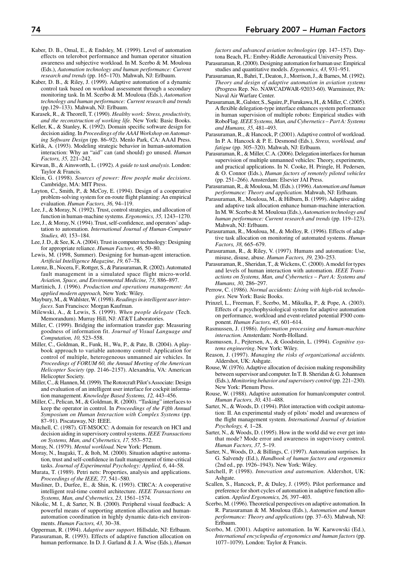- Kaber, D. B., Omal, E., & Endsley, M. (1999). Level of automation effects on telerobot performance and human operator situation awareness and subjective workload. In M. Scerbo & M. Mouloua (Eds.), *Automation technology and human performance: Current research and trends* (pp. 165–170). Mahwah, NJ: Erlbaum.
- Kaber, D. B., & Riley, J. (1999). Adaptive automation of a dynamic control task based on workload assessment through a secondary monitoring task. In M. Scerbo & M. Mouloua (Eds.), *Automation technology and human performance: Current research and trends* (pp.129–133). Mahwah, NJ: Erlbaum.
- Karasek, R., & Theorell, T. (1990). *Healthy work: Stress, productivity, and the reconstruction of working life.* New York: Basic Books.
- Keller, K., & Stanley, K. (1992). Domain specific software design for decision aiding. In *Proceedings of the AAAI Workshop on Automating Software Design* (pp. 86–92). Menlo Park, CA: AAAI Press.
- Kirlik, A. (1993). Modeling strategic behavior in human-automation interaction: Why an "aid" can (and should) go unused. *Human Factors, 35,* 221–242.
- Kirwan, B., & Ainsworth, L. (1992). *A guide to task analysis*. London: Taylor & Francis.
- Klein, G. (1998). *Sources of power: How people make decisions.* Cambridge, MA: MIT Press.
- Layton, C., Smith, P., & McCoy, E. (1994). Design of a cooperative problem-solving system for en-route flight planning: An empirical evaluation. *Human Factors, 36,* 94–119.
- Lee, J., & Moray, N. (1992). Trust, control strategies, and allocation of function in human-machine systems. *Ergonomics, 35,* 1243–1270.
- Lee, J., & Moray, N. (1994). Trust, self-confidence, and operators'adaptation to automation. *International Journal of Human-Computer Studies, 40,* 153–184.
- Lee, J. D., & See, K. A. (2004). Trust in computer technology: Designing for appropriate reliance. *Human Factors, 46,* 50–80.
- Lewis, M. (1998, Summer). Designing for human-agent interaction. *Artificial Intelligence Magazine, 19,* 67–78.
- Lorenz, B., Nocera, F., Rottger, S., & Parasuraman, R. (2002). Automated fault management in a simulated space flight micro-world. *Aviation, Space, and Environmental Medicine, 73,* 886–897.
- Martinich, J. (1996). *Production and operations management: An applied modern approach,* New York: Wiley.
- Maybury, M., & Wahlster, W. (1998). *Readings in intelligent user interfaces*. San Francisco: Morgan Kaufman.
- Milewski, A., & Lewis, S. (1999). *When people delegate* (Tech. Memorandum). Murray Hill, NJ: AT&T Laboratories.
- Miller, C. (1999). Bridging the information transfer gap: Measuring goodness of information fit. *Journal of Visual Language and Computation, 10,* 523–558.
- Miller, C., Goldman, R., Funk, H., Wu, P., & Pate, B. (2004). A playbook approach to variable autonomy control: Application for control of multiple, heterogeneous unmanned air vehicles. In *Proceedings of FORUM 60, the Annual Meeting of the American Helicopter Society* (pp. 2146–2157). Alexandria, VA: American Helicopter Society.
- Miller, C., & Hannen, M. (1999). The Rotorcraft Pilot's Associate: Design and evaluation of an intelligent user interface for cockpit information management. *Knowledge Based Systems, 12,* 443–456.
- Miller, C., Pelican, M., & Goldman, R. (2000). "Tasking" interfaces to keep the operator in control. In *Proceedings of the Fifth Annual Symposium on Human Interaction with Complex Systems* (pp. 87–91). Piscataway, NJ: IEEE.
- Mitchell, C. (1987). GT-MSOCC: A domain for research on HCI and decision aiding in supervisory control systems. *IEEE Transactions on Systems, Man, and Cybernetics, 17,* 553–572.
- Moray, N. (1979). *Mental workload.* New York: Plenum.
- Moray, N., Inagaki, T., & Itoh, M. (2000). Situation adaptive automation, trust and self-confidence in fault management of time-critical tasks. *Journal of Experimental Psychology: Applied, 6*, 44–58.
- Murata, T. (1989). Petri nets: Properties, analysis and applications. *Proceedings of the IEEE, 77,* 541–580.
- Musliner, D., Durfee, E., & Shin, K. (1993). CIRCA: A cooperative intelligent real-time control architecture. *IEEE Transactions on Systems, Man, and Cybernetics, 23,* 1561–1574.
- Nikolic, M. I., & Sarter, N. B. (2000). Peripheral visual feedback: A powerful means of supporting attention allocation and humanautomation coordination in highly dynamic data-rich environments. *Human Factors, 43,* 30–38.
- Opperman, R. (1994). *Adaptive user support*. Hillsdale, NJ: Erlbaum.
- Parasuraman, R. (1993). Effects of adaptive function allocation on human performance. In D. J. Garland & J. A. Wise (Eds.), *Human*

*factors and advanced aviation technologies* (pp. 147–157). Daytona Beach, FL: Embry-Riddle Aeronautical University Press.

- Parasuraman, R. (2000). Designing automation for human use: Empirical studies and quantitative models. *Ergonomics, 43,* 931–951*.*
- Parasuraman, R., Bahri, T., Deaton, J., Morrison, J., & Barnes, M. (1992). *Theory and design of adaptive automation in aviation systems* (Progress Rep. No. NAWCADWAR-92033-60). Warminster, PA: Naval Air Warfare Center.
- Parasuraman,R.,Galster,S.,Squire,P.,Furukawa,H., & Miller, C. (2005). A flexible delegation-type interface enhances system performance in human supervision of multiple robots: Empirical studies with RoboFlag. *IEEE Systems, Man, and Cybernetics – Part A: Systems and Humans, 35,* 481–493.
- Parasuraman, R., & Hancock, P. (2001). Adaptive control of workload. In P. A. Hancock & P. E. Desmond (Eds.), *Stress, workload, and fatigue* (pp. 305–320). Mahwah, NJ: Erlbaum.
- Parasuraman, R., & Miller, C. A. (2006). Delegation interfaces for human supervision of multiple unmanned vehicles: Theory, experiments, and practical applications. In N. Cooke, H. Pringle, H. Pedersen, & O. Connor (Eds.), *Human factors of remotely piloted vehicles* (pp. 251–266). Amsterdam: Elsevier JAI Press.
- Parasuraman, R., & Mouloua, M. (Eds.). (1996). *Automation and human performance: Theory and application.* Mahwah, NJ: Erlbaum.
- Parasuraman, R., Mouloua, M., & Hilburn, B. (1999). Adaptive aiding and adaptive task allocation enhance human-machine interaction. In M. W. Scerbo & M. Mouloua (Eds.), *Automation technology and human performance: Current research and trends* (pp. 119–123). Mahwah, NJ: Erlbaum.
- Parasuraman, R., Mouloua, M., & Molloy, R. (1996). Effects of adaptive task allocation on monitoring of automated systems. *Human Factors, 38,* 665–679.
- Parasuraman, R., & Riley, V. (1997). Humans and automation: Use, misuse, disuse, abuse. *Human Factors, 39,* 230–253.
- Parasuraman, R., Sheridan, T., & Wickens, C. (2000). Amodel for types and levels of human interaction with automation. *IEEE Transactions on Systems, Man, and Cybernetics – Part A: Systems and Humans, 30,* 286–297.
- Perrow, C. (1986). *Normal accidents: Living with high-risk technologies.* New York: Basic Books.
- Prinzel, L., Freeman, F., Scerbo, M., Mikulka, P., & Pope, A. (2003). Effects of a psychophysiological system for adaptive automation on performance, workload and event-related potential P300 component. *Human Factors, 45,* 601–614.
- Rasmussen, J. (1986). *Information processing and human-machine interaction.* Amsterdam: North-Holland.
- Rasmussen, J., Pejtersen, A., & Goodstein, L. (1994). *Cognitive systems engineering*. New York: Wiley.
- Reason, J. (1997). *Managing the risks of organizational accidents.* Aldershot, UK: Ashgate.
- Rouse, W. (1976). Adaptive allocation of decision making responsibility between supervisor and computer. In T. B. Sheridan & G. Johannsen (Eds.), *Monitoring behavior and supervisory control* (pp. 221–230). New York: Plenum Press.
- Rouse, W. (1988). Adaptive automation for human/computer control. *Human Factors, 30,* 431–488.
- Sarter, N., & Woods, D. (1994). Pilot interaction with cockpit automation: II. An experimental study of pilots' model and awareness of the flight management system. *International Journal of Aviation Psychology, 4,* 1–28.
- Sarter, N., & Woods, D. (1995). How in the world did we ever get into that mode? Mode error and awareness in supervisory control. *Human Factors, 37,* 5–19.
- Sarter, N., Woods, D., & Billings, C. (1997). Automation surprises. In G. Salvendy (Ed.), *Handbook of human factors and ergonomics* (2nd ed., pp. 1926–1943). New York: Wiley.
- Satchell, P. (1998). *Innovation and automation.* Aldershot, UK: Ashgate.
- Scallen, S., Hancock, P., & Duley, J. (1995). Pilot performance and preference for short cycles of automation in adaptive function allocation. *Applied Ergonomics, 26,* 397–403.
- Scerbo, M. (1996). Theoretical perspectives on adaptive automation. In R. Parasuraman & M. Mouloua (Eds.), *Automation and human performance: Theory and applications* (pp. 37–63). Mahwah, NJ: Erlbaum.
- Scerbo, M. (2001). Adaptive automation. In W. Karwowski (Ed.), *International encyclopedia of ergonomics and human factors* (pp. 1077–1079). London: Taylor & Francis.